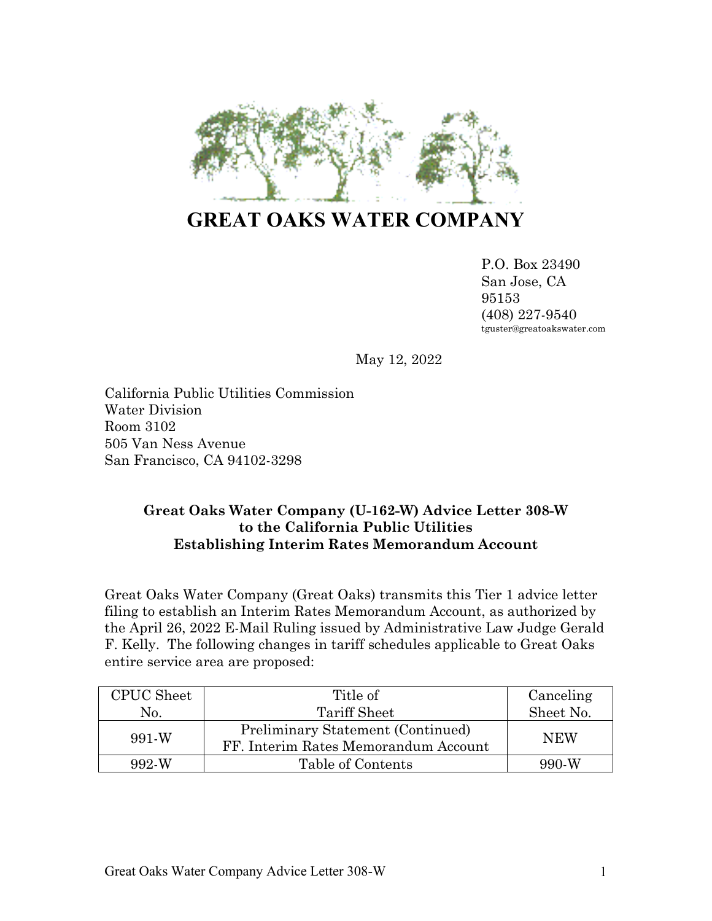

# **GREAT OAKS WATER COMPANY**

P.O. Box 23490 San Jose, CA 95153 (408) 227-9540 tguster@greatoakswater.com

May 12, 2022

California Public Utilities Commission Water Division Room 3102 505 Van Ness Avenue San Francisco, CA 94102-3298

## **Great Oaks Water Company (U-162-W) Advice Letter 308-W to the California Public Utilities Establishing Interim Rates Memorandum Account**

Great Oaks Water Company (Great Oaks) transmits this Tier 1 advice letter filing to establish an Interim Rates Memorandum Account, as authorized by the April 26, 2022 E-Mail Ruling issued by Administrative Law Judge Gerald F. Kelly. The following changes in tariff schedules applicable to Great Oaks entire service area are proposed:

| <b>CPUC</b> Sheet          | Title of                                                                  | Canceling<br>Sheet No. |
|----------------------------|---------------------------------------------------------------------------|------------------------|
| No.                        | Tariff Sheet                                                              |                        |
| $991-W$                    | Preliminary Statement (Continued)<br>FF. Interim Rates Memorandum Account | <b>NEW</b>             |
| Table of Contents<br>992-W |                                                                           | 990-W                  |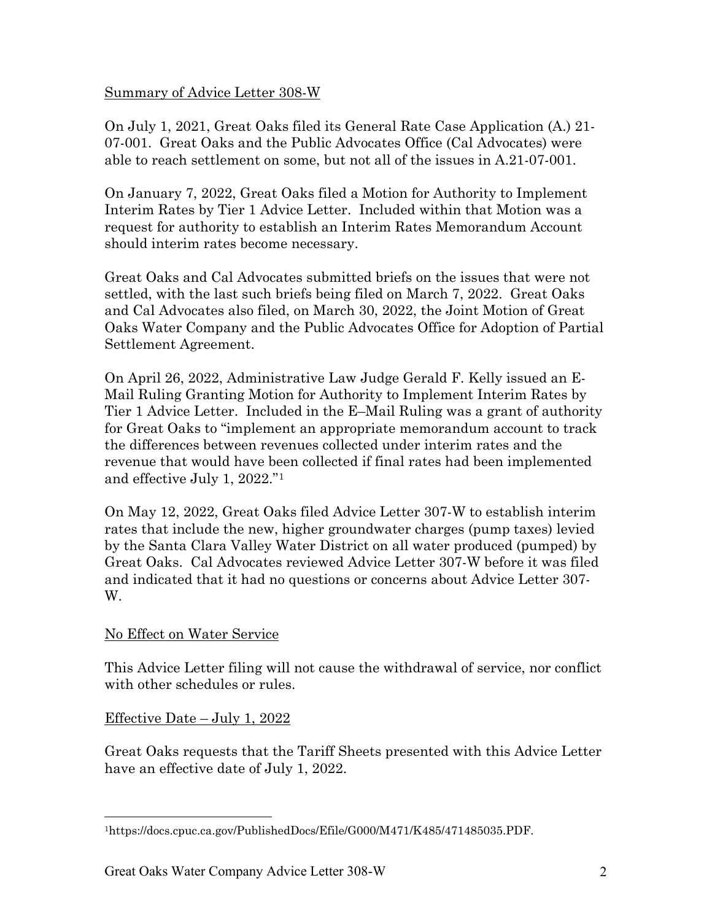## Summary of Advice Letter 308-W

On July 1, 2021, Great Oaks filed its General Rate Case Application (A.) 21- 07-001. Great Oaks and the Public Advocates Office (Cal Advocates) were able to reach settlement on some, but not all of the issues in A.21-07-001.

On January 7, 2022, Great Oaks filed a Motion for Authority to Implement Interim Rates by Tier 1 Advice Letter. Included within that Motion was a request for authority to establish an Interim Rates Memorandum Account should interim rates become necessary.

Great Oaks and Cal Advocates submitted briefs on the issues that were not settled, with the last such briefs being filed on March 7, 2022. Great Oaks and Cal Advocates also filed, on March 30, 2022, the Joint Motion of Great Oaks Water Company and the Public Advocates Office for Adoption of Partial Settlement Agreement.

On April 26, 2022, Administrative Law Judge Gerald F. Kelly issued an E-Mail Ruling Granting Motion for Authority to Implement Interim Rates by Tier 1 Advice Letter. Included in the E–Mail Ruling was a grant of authority for Great Oaks to "implement an appropriate memorandum account to track the differences between revenues collected under interim rates and the revenue that would have been collected if final rates had been implemented and effective July 1, 2022."[1](#page-1-0)

On May 12, 2022, Great Oaks filed Advice Letter 307-W to establish interim rates that include the new, higher groundwater charges (pump taxes) levied by the Santa Clara Valley Water District on all water produced (pumped) by Great Oaks. Cal Advocates reviewed Advice Letter 307-W before it was filed and indicated that it had no questions or concerns about Advice Letter 307- W.

# No Effect on Water Service

This Advice Letter filing will not cause the withdrawal of service, nor conflict with other schedules or rules.

# Effective Date – July 1, 2022

Great Oaks requests that the Tariff Sheets presented with this Advice Letter have an effective date of July 1, 2022.

<span id="page-1-0"></span><sup>1</sup>https://docs.cpuc.ca.gov/PublishedDocs/Efile/G000/M471/K485/471485035.PDF.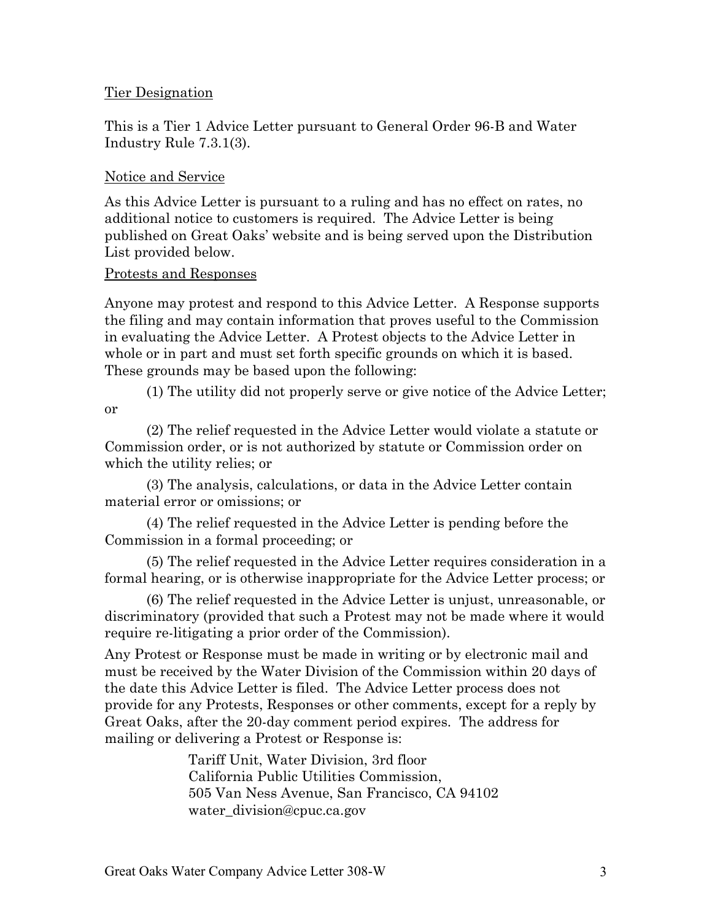## Tier Designation

This is a Tier 1 Advice Letter pursuant to General Order 96-B and Water Industry Rule 7.3.1(3).

## Notice and Service

As this Advice Letter is pursuant to a ruling and has no effect on rates, no additional notice to customers is required. The Advice Letter is being published on Great Oaks' website and is being served upon the Distribution List provided below.

## Protests and Responses

Anyone may protest and respond to this Advice Letter. A Response supports the filing and may contain information that proves useful to the Commission in evaluating the Advice Letter. A Protest objects to the Advice Letter in whole or in part and must set forth specific grounds on which it is based. These grounds may be based upon the following:

(1) The utility did not properly serve or give notice of the Advice Letter; or

(2) The relief requested in the Advice Letter would violate a statute or Commission order, or is not authorized by statute or Commission order on which the utility relies; or

(3) The analysis, calculations, or data in the Advice Letter contain material error or omissions; or

(4) The relief requested in the Advice Letter is pending before the Commission in a formal proceeding; or

(5) The relief requested in the Advice Letter requires consideration in a formal hearing, or is otherwise inappropriate for the Advice Letter process; or

(6) The relief requested in the Advice Letter is unjust, unreasonable, or discriminatory (provided that such a Protest may not be made where it would require re-litigating a prior order of the Commission).

Any Protest or Response must be made in writing or by electronic mail and must be received by the Water Division of the Commission within 20 days of the date this Advice Letter is filed. The Advice Letter process does not provide for any Protests, Responses or other comments, except for a reply by Great Oaks, after the 20-day comment period expires. The address for mailing or delivering a Protest or Response is:

> Tariff Unit, Water Division, 3rd floor California Public Utilities Commission, 505 Van Ness Avenue, San Francisco, CA 94102 water\_division@cpuc.ca.gov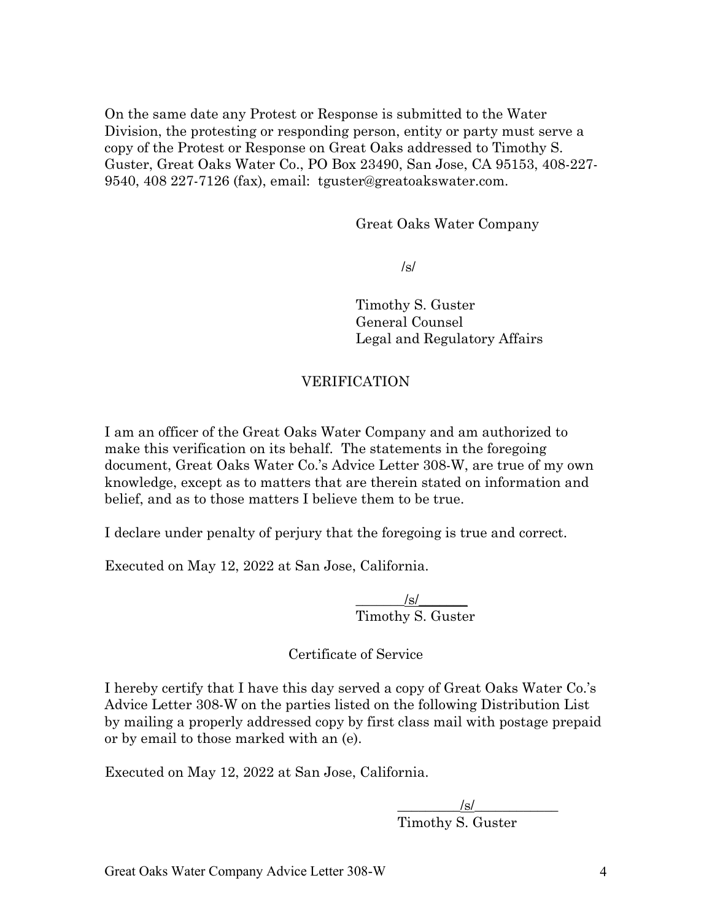On the same date any Protest or Response is submitted to the Water Division, the protesting or responding person, entity or party must serve a copy of the Protest or Response on Great Oaks addressed to Timothy S. Guster, Great Oaks Water Co., PO Box 23490, San Jose, CA 95153, 408-227- 9540, 408 227-7126 (fax), email: tguster@greatoakswater.com.

Great Oaks Water Company

/s/

Timothy S. Guster General Counsel Legal and Regulatory Affairs

# VERIFICATION

I am an officer of the Great Oaks Water Company and am authorized to make this verification on its behalf. The statements in the foregoing document, Great Oaks Water Co.'s Advice Letter 308-W, are true of my own knowledge, except as to matters that are therein stated on information and belief, and as to those matters I believe them to be true.

I declare under penalty of perjury that the foregoing is true and correct.

Executed on May 12, 2022 at San Jose, California.

 $\frac{|s|}{\sqrt{2\pi}}$ Timothy S. Guster

Certificate of Service

I hereby certify that I have this day served a copy of Great Oaks Water Co.'s Advice Letter 308-W on the parties listed on the following Distribution List by mailing a properly addressed copy by first class mail with postage prepaid or by email to those marked with an (e).

Executed on May 12, 2022 at San Jose, California.

 $\sqrt{s}$ / Timothy S. Guster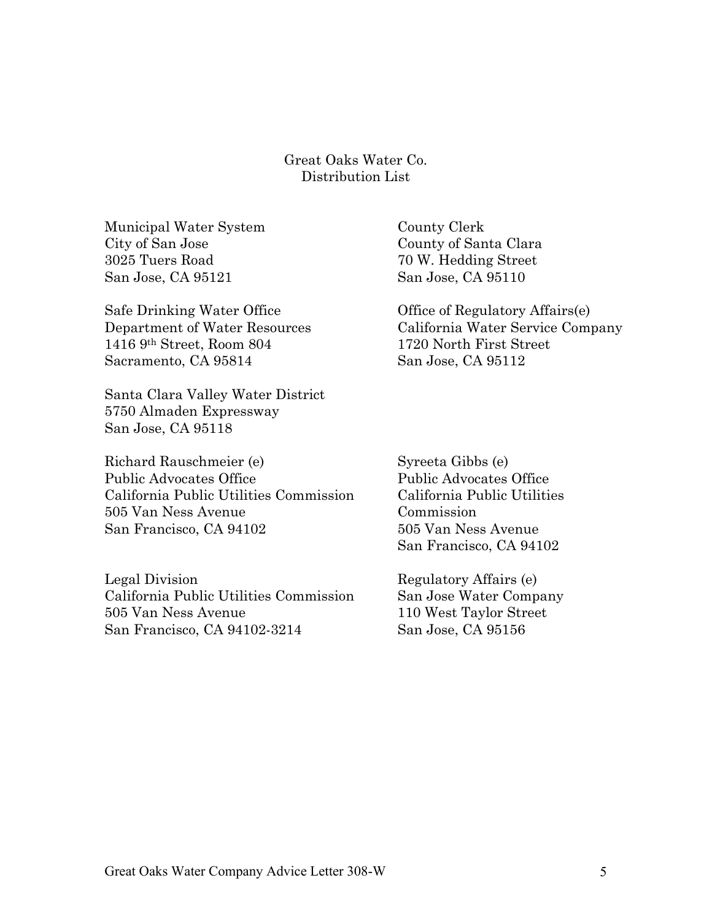Great Oaks Water Co. Distribution List

Municipal Water System County Clerk City of San Jose County of Santa Clara 3025 Tuers Road 70 W. Hedding Street San Jose, CA 95121 San Jose, CA 95110

Safe Drinking Water Office **Office** Office of Regulatory Affairs(e) 1416 9th Street, Room 804 1720 North First Street Sacramento, CA 95814 San Jose, CA 95112

Santa Clara Valley Water District 5750 Almaden Expressway San Jose, CA 95118

Richard Rauschmeier (e) Syreeta Gibbs (e) Public Advocates Office Public Advocates Office California Public Utilities Commission California Public Utilities 505 Van Ness Avenue Commission San Francisco, CA 94102 505 Van Ness Avenue

Legal Division Regulatory Affairs (e) California Public Utilities Commission San Jose Water Company 505 Van Ness Avenue 110 West Taylor Street San Francisco, CA 94102-3214 San Jose, CA 95156

Department of Water Resources California Water Service Company

San Francisco, CA 94102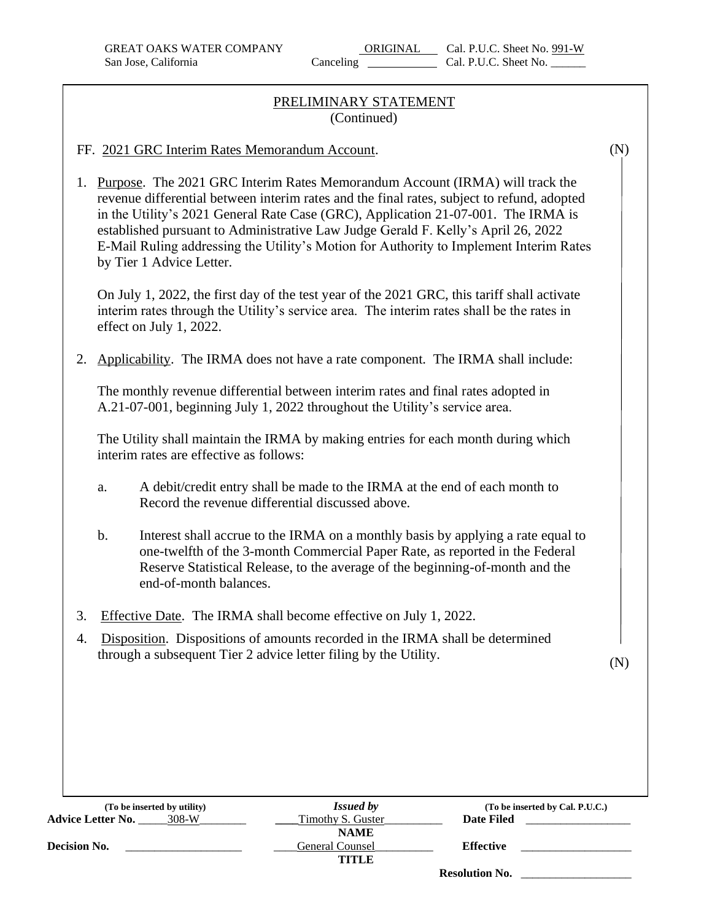## PRELIMINARY STATEMENT (Continued)

#### FF. 2021 GRC Interim Rates Memorandum Account.

1. Purpose. The 2021 GRC Interim Rates Memorandum Account (IRMA) will track the revenue differential between interim rates and the final rates, subject to refund, adopted in the Utility's 2021 General Rate Case (GRC), Application 21-07-001. The IRMA is established pursuant to Administrative Law Judge Gerald F. Kelly's April 26, 2022 E-Mail Ruling addressing the Utility's Motion for Authority to Implement Interim Rates by Tier 1 Advice Letter.

On July 1, 2022, the first day of the test year of the 2021 GRC, this tariff shall activate interim rates through the Utility's service area. The interim rates shall be the rates in effect on July 1, 2022.

2. Applicability. The IRMA does not have a rate component. The IRMA shall include:

The monthly revenue differential between interim rates and final rates adopted in A.21-07-001, beginning July 1, 2022 throughout the Utility's service area.

The Utility shall maintain the IRMA by making entries for each month during which interim rates are effective as follows:

- a. A debit/credit entry shall be made to the IRMA at the end of each month to Record the revenue differential discussed above.
- b. Interest shall accrue to the IRMA on a monthly basis by applying a rate equal to one-twelfth of the 3-month Commercial Paper Rate, as reported in the Federal Reserve Statistical Release, to the average of the beginning-of-month and the end-of-month balances.
- 3. Effective Date. The IRMA shall become effective on July 1, 2022.
- 4. Disposition. Dispositions of amounts recorded in the IRMA shall be determined through a subsequent Tier 2 advice letter filing by the Utility.

(N)

| (To be inserted by utility)       | <b>Issued by</b>         | (To be inserted by Cal. P.U.C.) |
|-----------------------------------|--------------------------|---------------------------------|
| <b>Advice Letter No.</b><br>308-W | <b>Timothy S. Guster</b> | Date Filed                      |
|                                   | <b>NAME</b>              |                                 |
| <b>Decision No.</b>               | General Counsel          | <b>Effective</b>                |
|                                   | TITLE                    |                                 |
|                                   |                          | <b>Resolution No.</b>           |

(N)